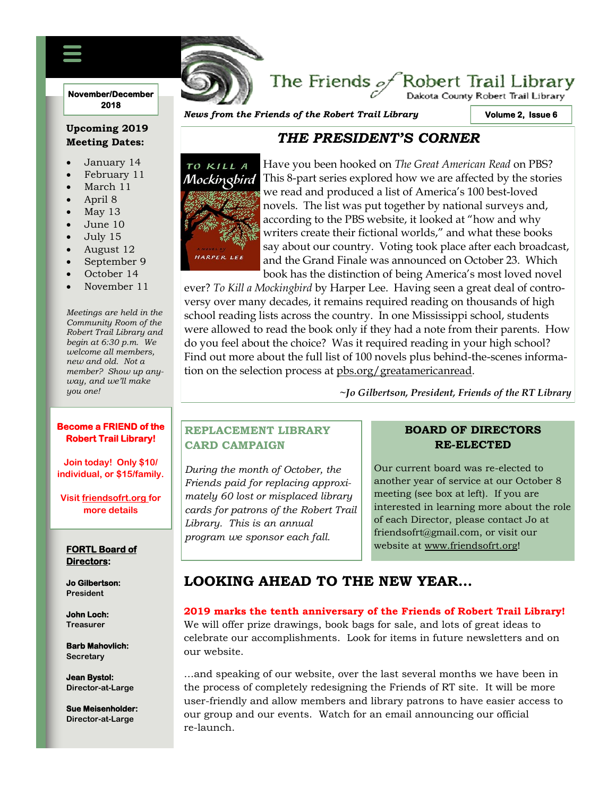### **November/December 2018**

## **Upcoming 2019 Meeting Dates:**

- January 14
- February 11
- March 11
- April 8
- $M$ ay 13
- June 10
- July 15
- August 12
- September 9
- October 14
- November 11

*Meetings are held in the Community Room of the Robert Trail Library and begin at 6:30 p.m. We welcome all members, new and old. Not a member? Show up anyway, and we'll make you one!*

### **Become a FRIEND of the Robert Trail Library!**

**Join today! Only \$10/ individual, or \$15/family.**

**Visit friendsofrt.org for more details**

### **FORTL Board of Directors:**

**Jo Gilbertson: President**

**John Loch: Treasurer**

**Barb Mahovlich: Secretary**

**Jean Bystol: Director-at-Large**

**Sue Meisenholder: Director-at-Large**

*News from the Friends of the Robert Trail Library*

FRIENDS OF THE ROBERT TRAIL LIBRARY NEWSFILM

**Volume 2, Issue 6** 

Dakota County Robert Trail Library

# *THE PRESIDENT'S CORNER*



Have you been hooked on *The Great American Read* on PBS? This 8-part series explored how we are affected by the stories we read and produced a list of America's 100 best-loved novels. The list was put together by national surveys and, according to the PBS website, it looked at "how and why writers create their fictional worlds," and what these books say about our country. Voting took place after each broadcast, and the Grand Finale was announced on October 23. Which book has the distinction of being America's most loved novel

The Friends  $\mathscr{A}$ Robert Trail Library

ever? *To Kill a Mockingbird* by Harper Lee. Having seen a great deal of controversy over many decades, it remains required reading on thousands of high school reading lists across the country. In one Mississippi school, students were allowed to read the book only if they had a note from their parents. How do you feel about the choice? Was it required reading in your high school? Find out more about the full list of 100 novels plus behind-the-scenes information on the selection process at pbs.org/greatamericanread.

**~***Jo Gilbertson, President, Friends of the RT Library*

## **REPLACEMENT LIBRARY CARD CAMPAIGN**

*During the month of October, the Friends paid for replacing approximately 60 lost or misplaced library cards for patrons of the Robert Trail Library. This is an annual program we sponsor each fall.*

## **BOARD OF DIRECTORS RE-ELECTED**

Our current board was re-elected to another year of service at our October 8 meeting (see box at left). If you are interested in learning more about the role of each Director, please contact Jo at friendsofrt@gmail.com, or visit our website at www.friendsofrt.org!

# **LOOKING AHEAD TO THE NEW YEAR…**

### **2019 marks the tenth anniversary of the Friends of Robert Trail Library!**

We will offer prize drawings, book bags for sale, and lots of great ideas to celebrate our accomplishments. Look for items in future newsletters and on our website.

…and speaking of our website, over the last several months we have been in the process of completely redesigning the Friends of RT site. It will be more user-friendly and allow members and library patrons to have easier access to our group and our events. Watch for an email announcing our official re-launch.